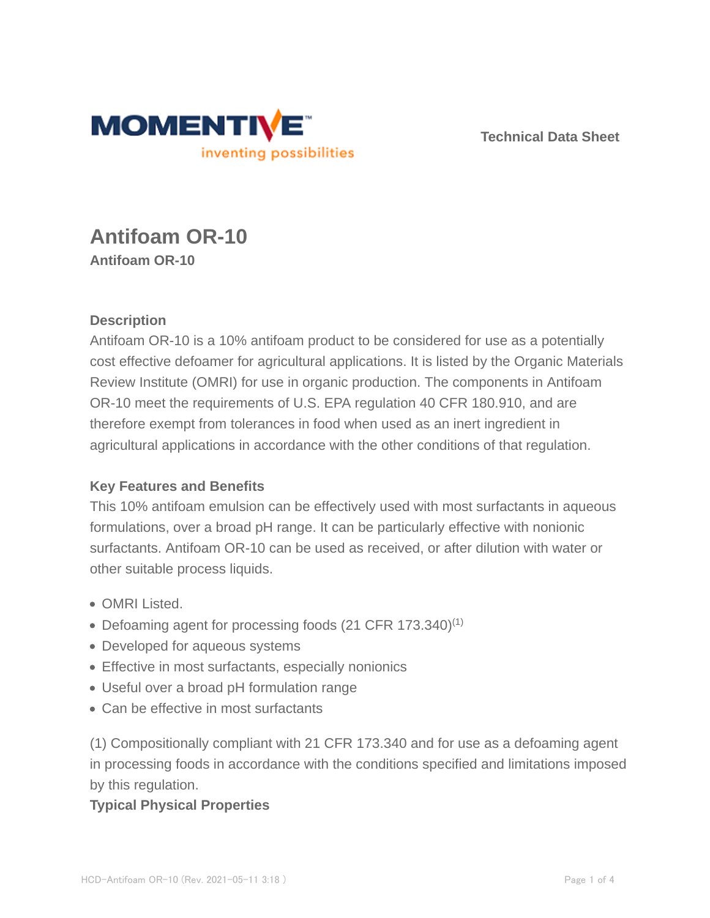

**Technical Data Sheet**

# **Antifoam OR-10 Antifoam OR-10**

## **Description**

Antifoam OR-10 is a 10% antifoam product to be considered for use as a potentially cost effective defoamer for agricultural applications. It is listed by the Organic Materials Review Institute (OMRI) for use in organic production. The components in Antifoam OR-10 meet the requirements of U.S. EPA regulation 40 CFR 180.910, and are therefore exempt from tolerances in food when used as an inert ingredient in agricultural applications in accordance with the other conditions of that regulation.

### **Key Features and Benefits**

This 10% antifoam emulsion can be effectively used with most surfactants in aqueous formulations, over a broad pH range. It can be particularly effective with nonionic surfactants. Antifoam OR-10 can be used as received, or after dilution with water or other suitable process liquids.

- OMRI Listed.
- Defoaming agent for processing foods (21 CFR 173.340)<sup>(1)</sup>
- Developed for aqueous systems
- Effective in most surfactants, especially nonionics
- Useful over a broad pH formulation range
- Can be effective in most surfactants

(1) Compositionally compliant with 21 CFR 173.340 and for use as a defoaming agent in processing foods in accordance with the conditions specified and limitations imposed by this regulation.

### **Typical Physical Properties**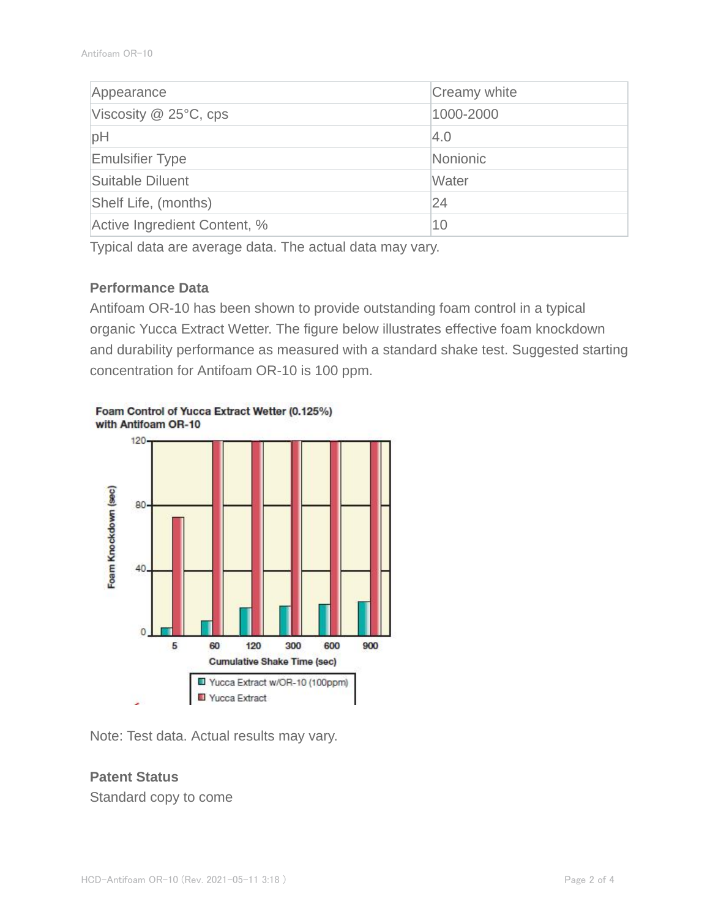| Appearance                   | Creamy white |  |
|------------------------------|--------------|--|
| Viscosity $@$ 25 $°C$ , cps  | 1000-2000    |  |
| pH                           | 4.0          |  |
| <b>Emulsifier Type</b>       | Nonionic     |  |
| Suitable Diluent             | Water        |  |
| Shelf Life, (months)         | 24           |  |
| Active Ingredient Content, % | 10           |  |

Typical data are average data. The actual data may vary.

#### **Performance Data**

Antifoam OR-10 has been shown to provide outstanding foam control in a typical organic Yucca Extract Wetter. The figure below illustrates effective foam knockdown and durability performance as measured with a standard shake test. Suggested starting concentration for Antifoam OR-10 is 100 ppm.



Foam Control of Yucca Extract Wetter (0.125%) with Antifoam OR-10

Note: Test data. Actual results may vary.

### **Patent Status**

Standard copy to come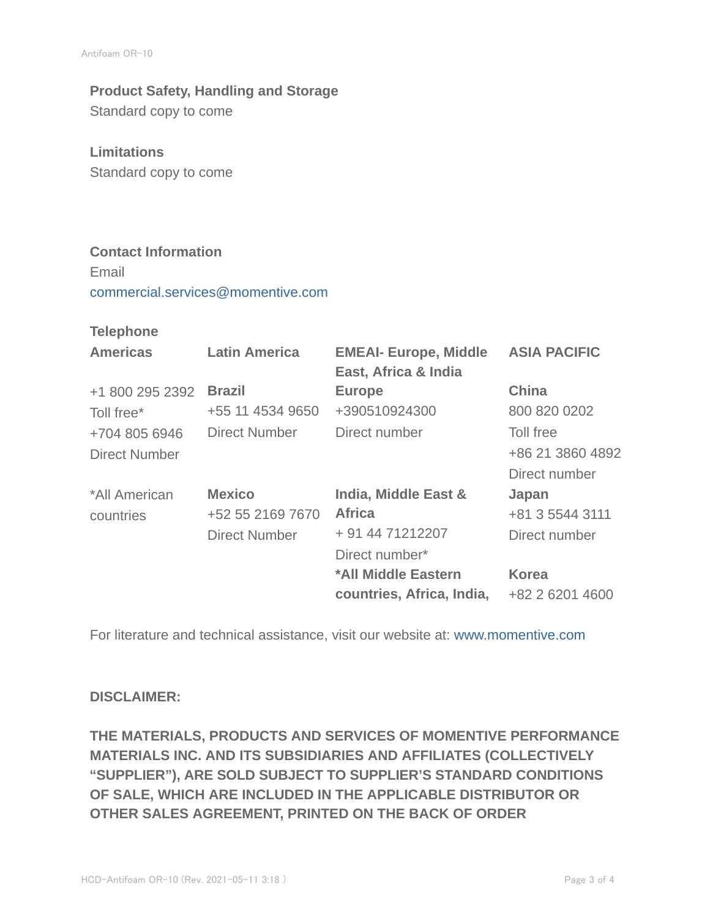# **Product Safety, Handling and Storage**

Standard copy to come

### **Limitations**

Standard copy to come

## **Contact Information**

Email commercial.services@momentive.com

#### **Telephone**

| <b>Latin America</b> | <b>EMEAI- Europe, Middle</b><br>East, Africa & India | <b>ASIA PACIFIC</b> |
|----------------------|------------------------------------------------------|---------------------|
| <b>Brazil</b>        | <b>Europe</b>                                        | <b>China</b>        |
| +55 11 4534 9650     | +390510924300                                        | 800 820 0202        |
| Direct Number        | Direct number                                        | Toll free           |
|                      |                                                      | +86 21 3860 4892    |
|                      |                                                      | Direct number       |
| <b>Mexico</b>        | India, Middle East &                                 | Japan               |
| +52 55 2169 7670     | <b>Africa</b>                                        | +81 3 5544 3111     |
| <b>Direct Number</b> | + 91 44 71212207                                     | Direct number       |
|                      | Direct number*                                       |                     |
|                      | *All Middle Eastern                                  | <b>Korea</b>        |
|                      | countries, Africa, India,                            | +82 2 6201 4600     |
|                      |                                                      |                     |

For literature and technical assistance, visit our website at: www.momentive.com

### **DISCLAIMER:**

**THE MATERIALS, PRODUCTS AND SERVICES OF MOMENTIVE PERFORMANCE MATERIALS INC. AND ITS SUBSIDIARIES AND AFFILIATES (COLLECTIVELY "SUPPLIER"), ARE SOLD SUBJECT TO SUPPLIER'S STANDARD CONDITIONS OF SALE, WHICH ARE INCLUDED IN THE APPLICABLE DISTRIBUTOR OR OTHER SALES AGREEMENT, PRINTED ON THE BACK OF ORDER**